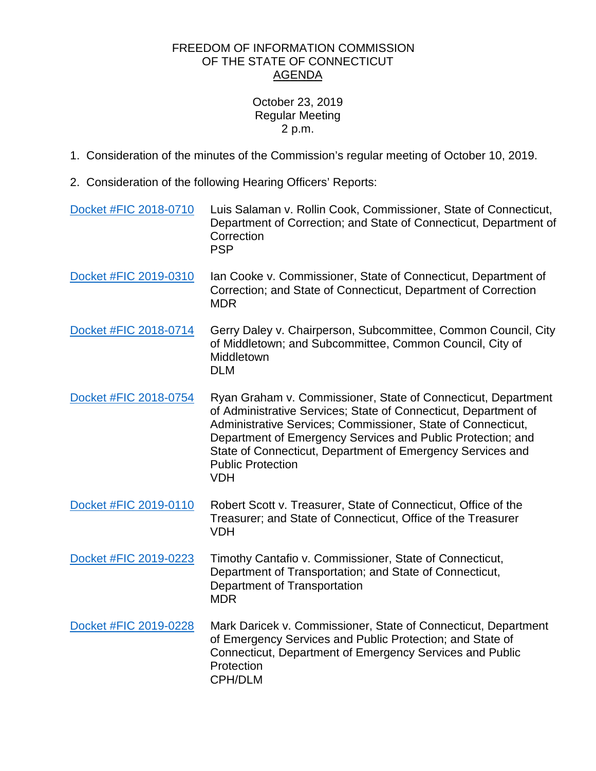## FREEDOM OF INFORMATION COMMISSION OF THE STATE OF CONNECTICUT AGENDA

## October 23, 2019 Regular Meeting 2 p.m.

- 1. Consideration of the minutes of the Commission's regular meeting of October 10, 2019.
- 2. Consideration of the following Hearing Officers' Reports:

| Docket #FIC 2018-0710 | Luis Salaman v. Rollin Cook, Commissioner, State of Connecticut,<br>Department of Correction; and State of Connecticut, Department of<br>Correction<br><b>PSP</b>                                                                                                                                                                                                       |
|-----------------------|-------------------------------------------------------------------------------------------------------------------------------------------------------------------------------------------------------------------------------------------------------------------------------------------------------------------------------------------------------------------------|
| Docket #FIC 2019-0310 | Ian Cooke v. Commissioner, State of Connecticut, Department of<br>Correction; and State of Connecticut, Department of Correction<br><b>MDR</b>                                                                                                                                                                                                                          |
| Docket #FIC 2018-0714 | Gerry Daley v. Chairperson, Subcommittee, Common Council, City<br>of Middletown; and Subcommittee, Common Council, City of<br>Middletown<br><b>DLM</b>                                                                                                                                                                                                                  |
| Docket #FIC 2018-0754 | Ryan Graham v. Commissioner, State of Connecticut, Department<br>of Administrative Services; State of Connecticut, Department of<br>Administrative Services; Commissioner, State of Connecticut,<br>Department of Emergency Services and Public Protection; and<br>State of Connecticut, Department of Emergency Services and<br><b>Public Protection</b><br><b>VDH</b> |
| Docket #FIC 2019-0110 | Robert Scott v. Treasurer, State of Connecticut, Office of the<br>Treasurer; and State of Connecticut, Office of the Treasurer<br><b>VDH</b>                                                                                                                                                                                                                            |
| Docket #FIC 2019-0223 | Timothy Cantafio v. Commissioner, State of Connecticut,<br>Department of Transportation; and State of Connecticut,<br>Department of Transportation<br><b>MDR</b>                                                                                                                                                                                                        |
| Docket #FIC 2019-0228 | Mark Daricek v. Commissioner, State of Connecticut, Department<br>of Emergency Services and Public Protection; and State of<br>Connecticut, Department of Emergency Services and Public<br>Protection<br><b>CPH/DLM</b>                                                                                                                                                 |